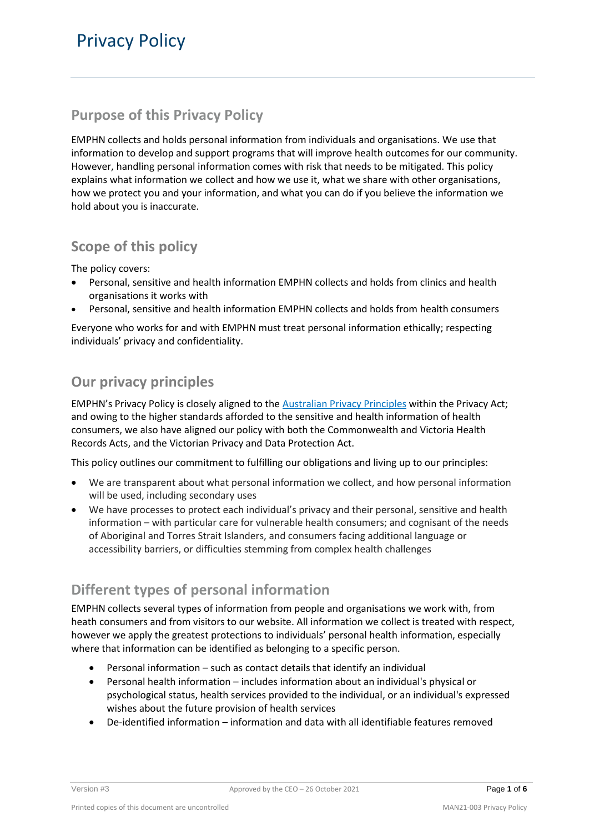# **Purpose of this Privacy Policy**

EMPHN collects and holds personal information from individuals and organisations. We use that information to develop and support programs that will improve health outcomes for our community. However, handling personal information comes with risk that needs to be mitigated. This policy explains what information we collect and how we use it, what we share with other organisations, how we protect you and your information, and what you can do if you believe the information we hold about you is inaccurate.

## **Scope of this policy**

The policy covers:

- Personal, sensitive and health information EMPHN collects and holds from clinics and health organisations it works with
- Personal, sensitive and health information EMPHN collects and holds from health consumers

Everyone who works for and with EMPHN must treat personal information ethically; respecting individuals' privacy and confidentiality.

# **Our privacy principles**

EMPHN's Privacy Policy is closely aligned to the [Australian Privacy Principles](https://www.oaic.gov.au/assets/privacy/guidance-and-advice/app-quick-reference-tool.pdf) within the Privacy Act; and owing to the higher standards afforded to the sensitive and health information of health consumers, we also have aligned our policy with both the Commonwealth and Victoria Health Records Acts, and the Victorian Privacy and Data Protection Act.

This policy outlines our commitment to fulfilling our obligations and living up to our principles:

- We are transparent about what personal information we collect, and how personal information will be used, including secondary uses
- We have processes to protect each individual's privacy and their personal, sensitive and health information – with particular care for vulnerable health consumers; and cognisant of the needs of Aboriginal and Torres Strait Islanders, and consumers facing additional language or accessibility barriers, or difficulties stemming from complex health challenges

# **Different types of personal information**

EMPHN collects several types of information from people and organisations we work with, from heath consumers and from visitors to our website. All information we collect is treated with respect, however we apply the greatest protections to individuals' personal health information, especially where that information can be identified as belonging to a specific person.

- Personal information such as contact details that identify an individual
- Personal health information includes information about an individual's physical or psychological status, health services provided to the individual, or an individual's expressed wishes about the future provision of health services
- De-identified information information and data with all identifiable features removed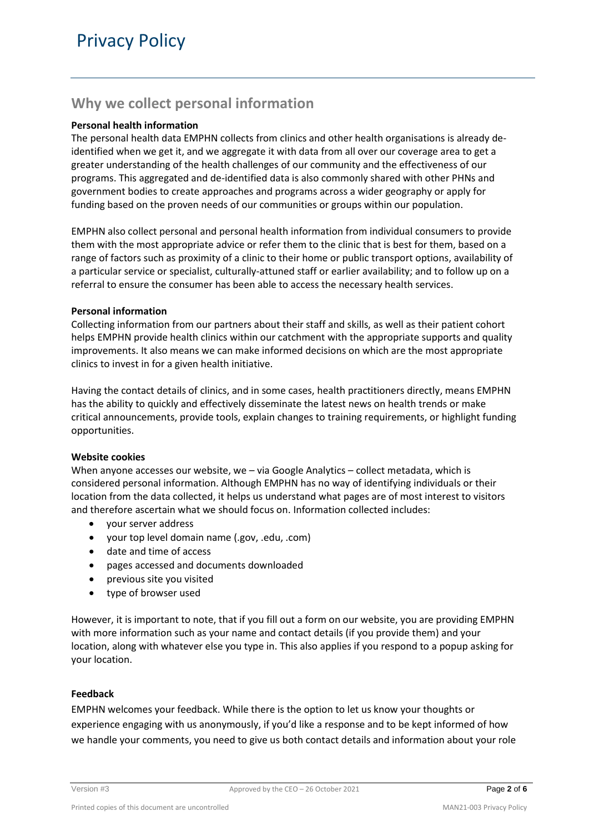## **Why we collect personal information**

#### **Personal health information**

The personal health data EMPHN collects from clinics and other health organisations is already deidentified when we get it, and we aggregate it with data from all over our coverage area to get a greater understanding of the health challenges of our community and the effectiveness of our programs. This aggregated and de-identified data is also commonly shared with other PHNs and government bodies to create approaches and programs across a wider geography or apply for funding based on the proven needs of our communities or groups within our population.

EMPHN also collect personal and personal health information from individual consumers to provide them with the most appropriate advice or refer them to the clinic that is best for them, based on a range of factors such as proximity of a clinic to their home or public transport options, availability of a particular service or specialist, culturally-attuned staff or earlier availability; and to follow up on a referral to ensure the consumer has been able to access the necessary health services.

#### **Personal information**

Collecting information from our partners about their staff and skills, as well as their patient cohort helps EMPHN provide health clinics within our catchment with the appropriate supports and quality improvements. It also means we can make informed decisions on which are the most appropriate clinics to invest in for a given health initiative.

Having the contact details of clinics, and in some cases, health practitioners directly, means EMPHN has the ability to quickly and effectively disseminate the latest news on health trends or make critical announcements, provide tools, explain changes to training requirements, or highlight funding opportunities.

#### **Website cookies**

When anyone accesses our website, we – via Google Analytics – collect metadata, which is considered personal information. Although EMPHN has no way of identifying individuals or their location from the data collected, it helps us understand what pages are of most interest to visitors and therefore ascertain what we should focus on. Information collected includes:

- your server address
- your top level domain name (.gov, .edu, .com)
- date and time of access
- pages accessed and documents downloaded
- previous site you visited
- type of browser used

However, it is important to note, that if you fill out a form on our website, you are providing EMPHN with more information such as your name and contact details (if you provide them) and your location, along with whatever else you type in. This also applies if you respond to a popup asking for your location.

#### **Feedback**

EMPHN welcomes your feedback. While there is the option to let us know your thoughts or experience engaging with us anonymously, if you'd like a response and to be kept informed of how we handle your comments, you need to give us both contact details and information about your role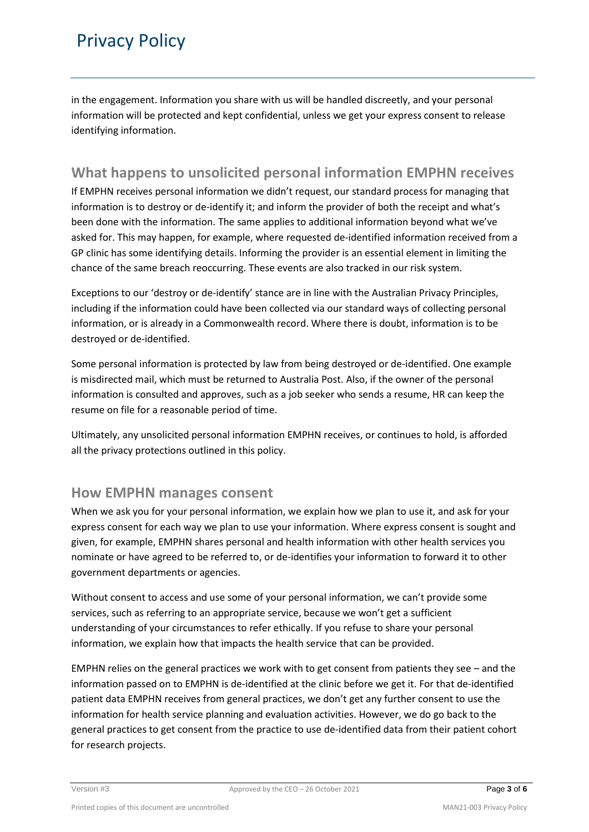# Privacy Policy

in the engagement. Information you share with us will be handled discreetly, and your personal information will be protected and kept confidential, unless we get your express consent to release identifying information.

### **What happens to unsolicited personal information EMPHN receives**

If EMPHN receives personal information we didn't request, our standard process for managing that information is to destroy or de-identify it; and inform the provider of both the receipt and what's been done with the information. The same applies to additional information beyond what we've asked for. This may happen, for example, where requested de-identified information received from a GP clinic has some identifying details. Informing the provider is an essential element in limiting the chance of the same breach reoccurring. These events are also tracked in our risk system.

Exceptions to our 'destroy or de-identify' stance are in line with the Australian Privacy Principles, including if the information could have been collected via our standard ways of collecting personal information, or is already in a Commonwealth record. Where there is doubt, information is to be destroyed or de-identified.

Some personal information is protected by law from being destroyed or de-identified. One example is misdirected mail, which must be returned to Australia Post. Also, if the owner of the personal information is consulted and approves, such as a job seeker who sends a resume, HR can keep the resume on file for a reasonable period of time.

Ultimately, any unsolicited personal information EMPHN receives, or continues to hold, is afforded all the privacy protections outlined in this policy.

### **How EMPHN manages consent**

When we ask you for your personal information, we explain how we plan to use it, and ask for your express consent for each way we plan to use your information. Where express consent is sought and given, for example, EMPHN shares personal and health information with other health services you nominate or have agreed to be referred to, or de-identifies your information to forward it to other government departments or agencies.

Without consent to access and use some of your personal information, we can't provide some services, such as referring to an appropriate service, because we won't get a sufficient understanding of your circumstances to refer ethically. If you refuse to share your personal information, we explain how that impacts the health service that can be provided.

EMPHN relies on the general practices we work with to get consent from patients they see – and the information passed on to EMPHN is de-identified at the clinic before we get it. For that de-identified patient data EMPHN receives from general practices, we don't get any further consent to use the information for health service planning and evaluation activities. However, we do go back to the general practices to get consent from the practice to use de-identified data from their patient cohort for research projects.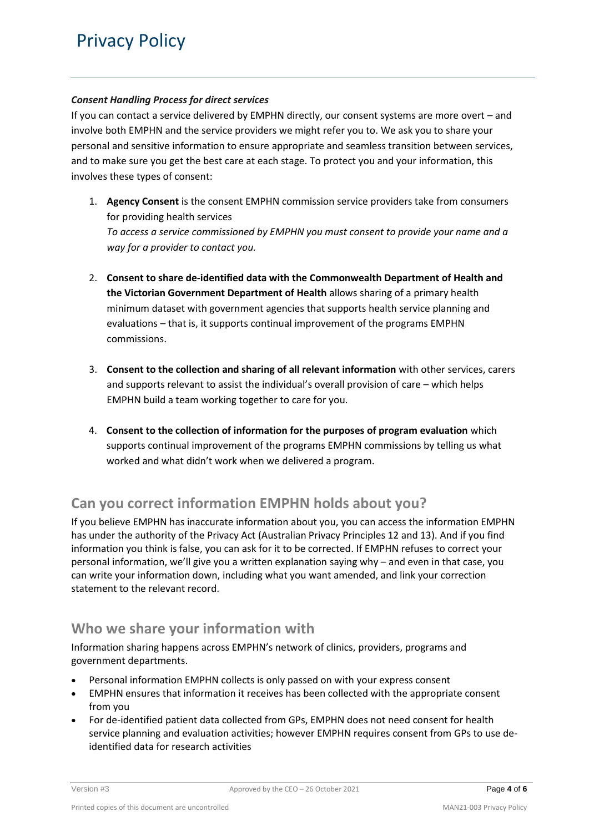#### *Consent Handling Process for direct services*

If you can contact a service delivered by EMPHN directly, our consent systems are more overt – and involve both EMPHN and the service providers we might refer you to. We ask you to share your personal and sensitive information to ensure appropriate and seamless transition between services, and to make sure you get the best care at each stage. To protect you and your information, this involves these types of consent:

1. **Agency Consent** is the consent EMPHN commission service providers take from consumers for providing health services

*To access a service commissioned by EMPHN you must consent to provide your name and a way for a provider to contact you.*

- 2. **Consent to share de-identified data with the Commonwealth Department of Health and the Victorian Government Department of Health** allows sharing of a primary health minimum dataset with government agencies that supports health service planning and evaluations – that is, it supports continual improvement of the programs EMPHN commissions.
- 3. **Consent to the collection and sharing of all relevant information** with other services, carers and supports relevant to assist the individual's overall provision of care – which helps EMPHN build a team working together to care for you.
- 4. **Consent to the collection of information for the purposes of program evaluation** which supports continual improvement of the programs EMPHN commissions by telling us what worked and what didn't work when we delivered a program.

### **Can you correct information EMPHN holds about you?**

If you believe EMPHN has inaccurate information about you, you can access the information EMPHN has under the authority of the Privacy Act (Australian Privacy Principles 12 and 13). And if you find information you think is false, you can ask for it to be corrected. If EMPHN refuses to correct your personal information, we'll give you a written explanation saying why – and even in that case, you can write your information down, including what you want amended, and link your correction statement to the relevant record.

### **Who we share your information with**

Information sharing happens across EMPHN's network of clinics, providers, programs and government departments.

- Personal information EMPHN collects is only passed on with your express consent
- EMPHN ensures that information it receives has been collected with the appropriate consent from you
- For de-identified patient data collected from GPs, EMPHN does not need consent for health service planning and evaluation activities; however EMPHN requires consent from GPs to use deidentified data for research activities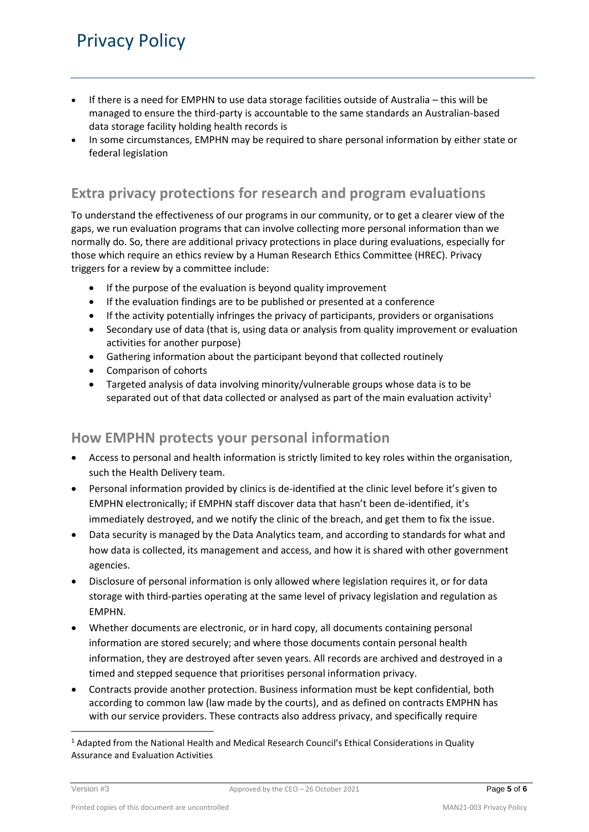# Privacy Policy

- If there is a need for EMPHN to use data storage facilities outside of Australia this will be managed to ensure the third-party is accountable to the same standards an Australian-based data storage facility holding health records is
- In some circumstances, EMPHN may be required to share personal information by either state or federal legislation

### **Extra privacy protections for research and program evaluations**

To understand the effectiveness of our programs in our community, or to get a clearer view of the gaps, we run evaluation programs that can involve collecting more personal information than we normally do. So, there are additional privacy protections in place during evaluations, especially for those which require an ethics review by a Human Research Ethics Committee (HREC). Privacy triggers for a review by a committee include:

- If the purpose of the evaluation is beyond quality improvement
- If the evaluation findings are to be published or presented at a conference
- If the activity potentially infringes the privacy of participants, providers or organisations
- Secondary use of data (that is, using data or analysis from quality improvement or evaluation activities for another purpose)
- Gathering information about the participant beyond that collected routinely
- Comparison of cohorts
- Targeted analysis of data involving minority/vulnerable groups whose data is to be separated out of that data collected or analysed as part of the main evaluation activity<sup>1</sup>

### **How EMPHN protects your personal information**

- Access to personal and health information is strictly limited to key roles within the organisation, such the Health Delivery team.
- Personal information provided by clinics is de-identified at the clinic level before it's given to EMPHN electronically; if EMPHN staff discover data that hasn't been de-identified, it's immediately destroyed, and we notify the clinic of the breach, and get them to fix the issue.
- Data security is managed by the Data Analytics team, and according to standards for what and how data is collected, its management and access, and how it is shared with other government agencies.
- Disclosure of personal information is only allowed where legislation requires it, or for data storage with third-parties operating at the same level of privacy legislation and regulation as EMPHN.
- Whether documents are electronic, or in hard copy, all documents containing personal information are stored securely; and where those documents contain personal health information, they are destroyed after seven years. All records are archived and destroyed in a timed and stepped sequence that prioritises personal information privacy.
- Contracts provide another protection. Business information must be kept confidential, both according to common law (law made by the courts), and as defined on contracts EMPHN has with our service providers. These contracts also address privacy, and specifically require

1

<sup>&</sup>lt;sup>1</sup> Adapted from the National Health and Medical Research Council's Ethical Considerations in Quality Assurance and Evaluation Activities